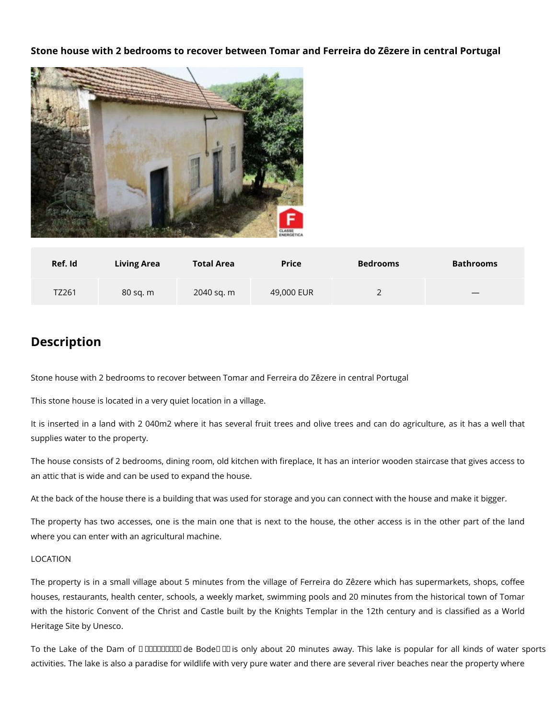## **Stone house with 2 bedrooms to recover between Tomar and Ferreira do Zêzere in central Portugal**



| Ref. Id | <b>Living Area</b> | <b>Total Area</b> | <b>Price</b> | <b>Bedrooms</b> | <b>Bathrooms</b> |
|---------|--------------------|-------------------|--------------|-----------------|------------------|
| TZ261   | 80 sq. m           | 2040 sq. m        | 49,000 EUR   |                 |                  |

## **Description**

Stone house with 2 bedrooms to recover between Tomar and Ferreira do Zêzere in central Portugal

This stone house is located in a very quiet location in a village.

It is inserted in a land with 2 040m2 where it has several fruit trees and olive trees and can do agriculture, as it has a well that supplies water to the property.

The house consists of 2 bedrooms, dining room, old kitchen with fireplace, It has an interior wooden staircase that gives access to an attic that is wide and can be used to expand the house.

At the back of the house there is a building that was used for storage and you can connect with the house and make it bigger.

The property has two accesses, one is the main one that is next to the house, the other access is in the other part of the land where you can enter with an agricultural machine.

## LOCATION

The property is in a small village about 5 minutes from the village of Ferreira do Zêzere which has supermarkets, shops, coffee houses, restaurants, health center, schools, a weekly market, swimming pools and 20 minutes from the historical town of Tomar with the historic Convent of the Christ and Castle built by the Knights Templar in the 12th century and is classified as a World Heritage Site by Unesco.

To the Lake of the Dam of **DODODOD** de Bode **D** is only about 20 minutes away. This lake is popular for all kinds of water sports activities. The lake is also a paradise for wildlife with very pure water and there are several river beaches near the property where